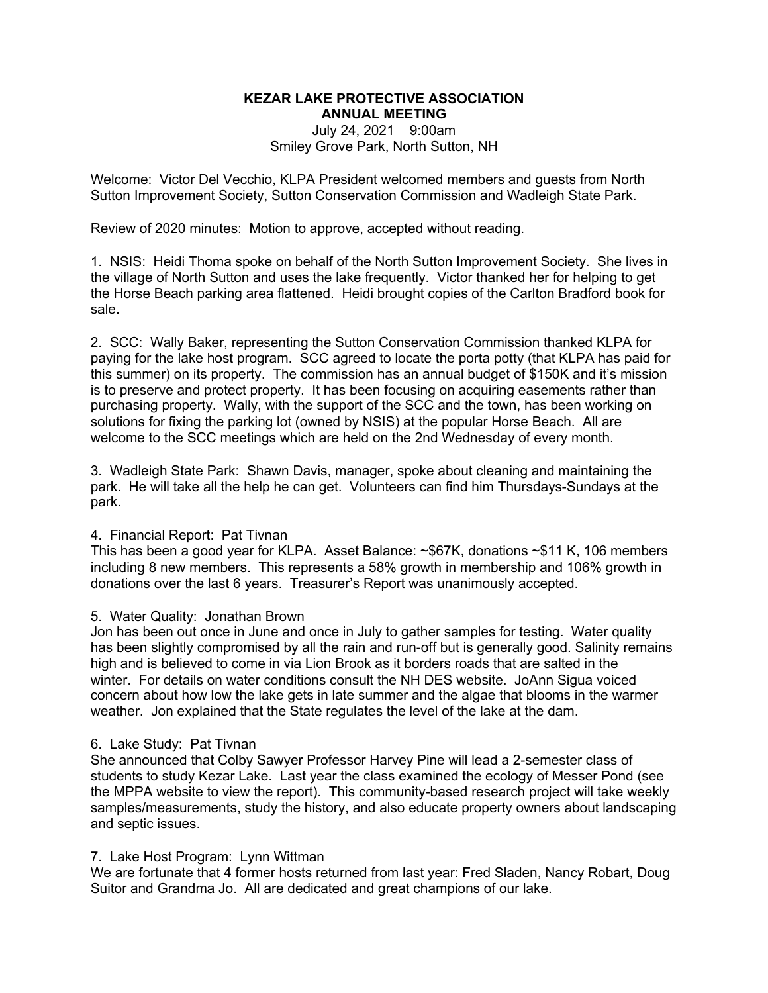# **KEZAR LAKE PROTECTIVE ASSOCIATION ANNUAL MEETING** July 24, 2021 9:00am Smiley Grove Park, North Sutton, NH

Welcome: Victor Del Vecchio, KLPA President welcomed members and guests from North Sutton Improvement Society, Sutton Conservation Commission and Wadleigh State Park.

Review of 2020 minutes: Motion to approve, accepted without reading.

1. NSIS: Heidi Thoma spoke on behalf of the North Sutton Improvement Society. She lives in the village of North Sutton and uses the lake frequently. Victor thanked her for helping to get the Horse Beach parking area flattened. Heidi brought copies of the Carlton Bradford book for sale.

2. SCC: Wally Baker, representing the Sutton Conservation Commission thanked KLPA for paying for the lake host program. SCC agreed to locate the porta potty (that KLPA has paid for this summer) on its property. The commission has an annual budget of \$150K and it's mission is to preserve and protect property. It has been focusing on acquiring easements rather than purchasing property. Wally, with the support of the SCC and the town, has been working on solutions for fixing the parking lot (owned by NSIS) at the popular Horse Beach. All are welcome to the SCC meetings which are held on the 2nd Wednesday of every month.

3. Wadleigh State Park: Shawn Davis, manager, spoke about cleaning and maintaining the park. He will take all the help he can get. Volunteers can find him Thursdays-Sundays at the park.

## 4. Financial Report: Pat Tivnan

This has been a good year for KLPA. Asset Balance: ~\$67K, donations ~\$11 K, 106 members including 8 new members. This represents a 58% growth in membership and 106% growth in donations over the last 6 years. Treasurer's Report was unanimously accepted.

## 5. Water Quality: Jonathan Brown

Jon has been out once in June and once in July to gather samples for testing. Water quality has been slightly compromised by all the rain and run-off but is generally good. Salinity remains high and is believed to come in via Lion Brook as it borders roads that are salted in the winter. For details on water conditions consult the NH DES website. JoAnn Sigua voiced concern about how low the lake gets in late summer and the algae that blooms in the warmer weather. Jon explained that the State regulates the level of the lake at the dam.

#### 6. Lake Study: Pat Tivnan

She announced that Colby Sawyer Professor Harvey Pine will lead a 2-semester class of students to study Kezar Lake. Last year the class examined the ecology of Messer Pond (see the MPPA website to view the report). This community-based research project will take weekly samples/measurements, study the history, and also educate property owners about landscaping and septic issues.

#### 7. Lake Host Program: Lynn Wittman

We are fortunate that 4 former hosts returned from last year: Fred Sladen, Nancy Robart, Doug Suitor and Grandma Jo. All are dedicated and great champions of our lake.